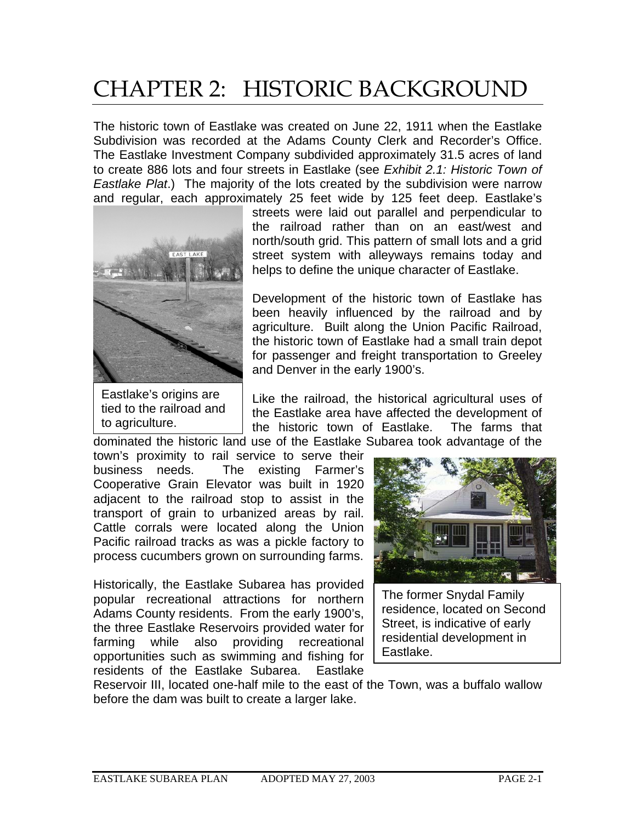# CHAPTER 2: HISTORIC BACKGROUND

The historic town of Eastlake was created on June 22, 1911 when the Eastlake Subdivision was recorded at the Adams County Clerk and Recorder's Office. The Eastlake Investment Company subdivided approximately 31.5 acres of land to create 886 lots and four streets in Eastlake (see *Exhibit 2.1: Historic Town of Eastlake Plat*.) The majority of the lots created by the subdivision were narrow and regular, each approximately 25 feet wide by 125 feet deep. Eastlake's



Eastlake's origins are tied to the railroad and to agriculture.

streets were laid out parallel and perpendicular to the railroad rather than on an east/west and north/south grid. This pattern of small lots and a grid street system with alleyways remains today and helps to define the unique character of Eastlake.

Development of the historic town of Eastlake has been heavily influenced by the railroad and by agriculture. Built along the Union Pacific Railroad, the historic town of Eastlake had a small train depot for passenger and freight transportation to Greeley and Denver in the early 1900's.

Like the railroad, the historical agricultural uses of the Eastlake area have affected the development of the historic town of Eastlake. The farms that dominated the historic land use of the Eastlake Subarea took advantage of the

town's proximity to rail service to serve their business needs. The existing Farmer's Cooperative Grain Elevator was built in 1920 adjacent to the railroad stop to assist in the transport of grain to urbanized areas by rail. Cattle corrals were located along the Union Pacific railroad tracks as was a pickle factory to process cucumbers grown on surrounding farms.

Historically, the Eastlake Subarea has provided popular recreational attractions for northern Adams County residents. From the early 1900's, the three Eastlake Reservoirs provided water for farming while also providing recreational opportunities such as swimming and fishing for residents of the Eastlake Subarea. Eastlake



The former Snydal Family residence, located on Second Street, is indicative of early residential development in Eastlake.

Reservoir III, located one-half mile to the east of the Town, was a buffalo wallow before the dam was built to create a larger lake.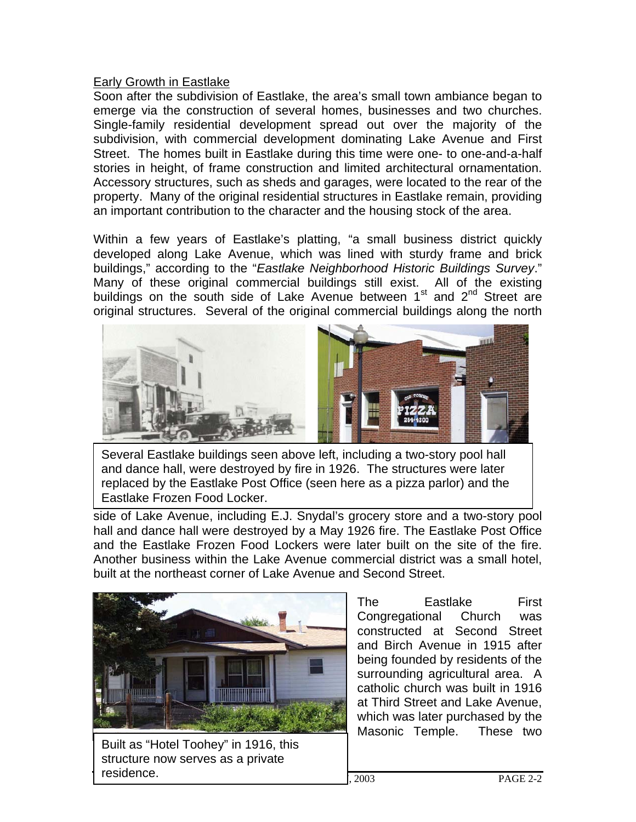#### Early Growth in Eastlake

Soon after the subdivision of Eastlake, the area's small town ambiance began to emerge via the construction of several homes, businesses and two churches. Single-family residential development spread out over the majority of the subdivision, with commercial development dominating Lake Avenue and First Street. The homes built in Eastlake during this time were one- to one-and-a-half stories in height, of frame construction and limited architectural ornamentation. Accessory structures, such as sheds and garages, were located to the rear of the property. Many of the original residential structures in Eastlake remain, providing an important contribution to the character and the housing stock of the area.

Within a few years of Eastlake's platting, "a small business district quickly developed along Lake Avenue, which was lined with sturdy frame and brick buildings," according to the "*Eastlake Neighborhood Historic Buildings Survey*." Many of these original commercial buildings still exist. All of the existing buildings on the south side of Lake Avenue between  $1<sup>st</sup>$  and  $2<sup>nd</sup>$  Street are original structures. Several of the original commercial buildings along the north



Several Eastlake buildings seen above left, including a two-story pool hall and dance hall, were destroyed by fire in 1926. The structures were later replaced by the Eastlake Post Office (seen here as a pizza parlor) and the Eastlake Frozen Food Locker.

side of Lake Avenue, including E.J. Snydal's grocery store and a two-story pool hall and dance hall were destroyed by a May 1926 fire. The Eastlake Post Office and the Eastlake Frozen Food Lockers were later built on the site of the fire. Another business within the Lake Avenue commercial district was a small hotel, built at the northeast corner of Lake Avenue and Second Street.



 $\vert$ , 2003 PAGE 2-2 Built as "Hotel Toohey" in 1916, this structure now serves as a private residence.

The Eastlake First Congregational Church was constructed at Second Street and Birch Avenue in 1915 after being founded by residents of the surrounding agricultural area. A catholic church was built in 1916 at Third Street and Lake Avenue, which was later purchased by the Masonic Temple. These two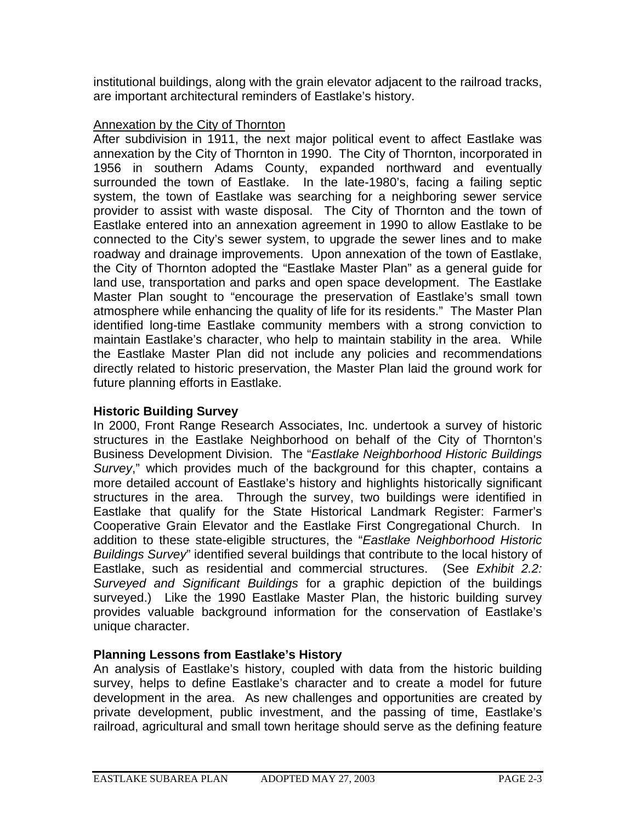institutional buildings, along with the grain elevator adjacent to the railroad tracks, are important architectural reminders of Eastlake's history.

### Annexation by the City of Thornton

After subdivision in 1911, the next major political event to affect Eastlake was annexation by the City of Thornton in 1990. The City of Thornton, incorporated in 1956 in southern Adams County, expanded northward and eventually surrounded the town of Eastlake. In the late-1980's, facing a failing septic system, the town of Eastlake was searching for a neighboring sewer service provider to assist with waste disposal. The City of Thornton and the town of Eastlake entered into an annexation agreement in 1990 to allow Eastlake to be connected to the City's sewer system, to upgrade the sewer lines and to make roadway and drainage improvements. Upon annexation of the town of Eastlake, the City of Thornton adopted the "Eastlake Master Plan" as a general guide for land use, transportation and parks and open space development. The Eastlake Master Plan sought to "encourage the preservation of Eastlake's small town atmosphere while enhancing the quality of life for its residents." The Master Plan identified long-time Eastlake community members with a strong conviction to maintain Eastlake's character, who help to maintain stability in the area. While the Eastlake Master Plan did not include any policies and recommendations directly related to historic preservation, the Master Plan laid the ground work for future planning efforts in Eastlake.

## **Historic Building Survey**

In 2000, Front Range Research Associates, Inc. undertook a survey of historic structures in the Eastlake Neighborhood on behalf of the City of Thornton's Business Development Division. The "*Eastlake Neighborhood Historic Buildings Survey*," which provides much of the background for this chapter, contains a more detailed account of Eastlake's history and highlights historically significant structures in the area. Through the survey, two buildings were identified in Eastlake that qualify for the State Historical Landmark Register: Farmer's Cooperative Grain Elevator and the Eastlake First Congregational Church. In addition to these state-eligible structures, the "*Eastlake Neighborhood Historic Buildings Survey*" identified several buildings that contribute to the local history of Eastlake, such as residential and commercial structures. (See *Exhibit 2.2: Surveyed and Significant Buildings* for a graphic depiction of the buildings surveyed.) Like the 1990 Eastlake Master Plan, the historic building survey provides valuable background information for the conservation of Eastlake's unique character.

## **Planning Lessons from Eastlake's History**

An analysis of Eastlake's history, coupled with data from the historic building survey, helps to define Eastlake's character and to create a model for future development in the area. As new challenges and opportunities are created by private development, public investment, and the passing of time, Eastlake's railroad, agricultural and small town heritage should serve as the defining feature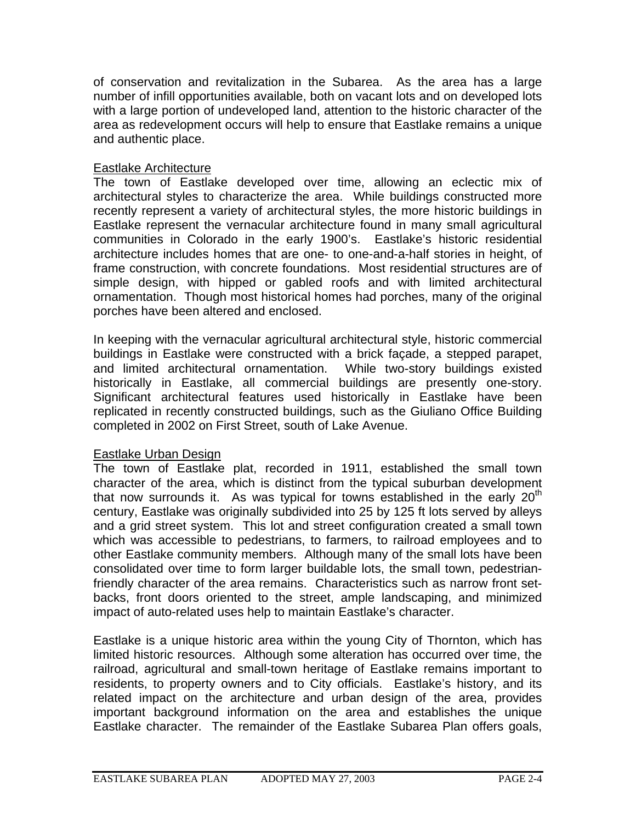of conservation and revitalization in the Subarea. As the area has a large number of infill opportunities available, both on vacant lots and on developed lots with a large portion of undeveloped land, attention to the historic character of the area as redevelopment occurs will help to ensure that Eastlake remains a unique and authentic place.

#### Eastlake Architecture

The town of Eastlake developed over time, allowing an eclectic mix of architectural styles to characterize the area. While buildings constructed more recently represent a variety of architectural styles, the more historic buildings in Eastlake represent the vernacular architecture found in many small agricultural communities in Colorado in the early 1900's. Eastlake's historic residential architecture includes homes that are one- to one-and-a-half stories in height, of frame construction, with concrete foundations. Most residential structures are of simple design, with hipped or gabled roofs and with limited architectural ornamentation. Though most historical homes had porches, many of the original porches have been altered and enclosed.

In keeping with the vernacular agricultural architectural style, historic commercial buildings in Eastlake were constructed with a brick façade, a stepped parapet, and limited architectural ornamentation. While two-story buildings existed historically in Eastlake, all commercial buildings are presently one-story. Significant architectural features used historically in Eastlake have been replicated in recently constructed buildings, such as the Giuliano Office Building completed in 2002 on First Street, south of Lake Avenue.

#### Eastlake Urban Design

The town of Eastlake plat, recorded in 1911, established the small town character of the area, which is distinct from the typical suburban development that now surrounds it. As was typical for towns established in the early  $20<sup>th</sup>$ century, Eastlake was originally subdivided into 25 by 125 ft lots served by alleys and a grid street system. This lot and street configuration created a small town which was accessible to pedestrians, to farmers, to railroad employees and to other Eastlake community members. Although many of the small lots have been consolidated over time to form larger buildable lots, the small town, pedestrianfriendly character of the area remains. Characteristics such as narrow front setbacks, front doors oriented to the street, ample landscaping, and minimized impact of auto-related uses help to maintain Eastlake's character.

Eastlake is a unique historic area within the young City of Thornton, which has limited historic resources. Although some alteration has occurred over time, the railroad, agricultural and small-town heritage of Eastlake remains important to residents, to property owners and to City officials. Eastlake's history, and its related impact on the architecture and urban design of the area, provides important background information on the area and establishes the unique Eastlake character. The remainder of the Eastlake Subarea Plan offers goals,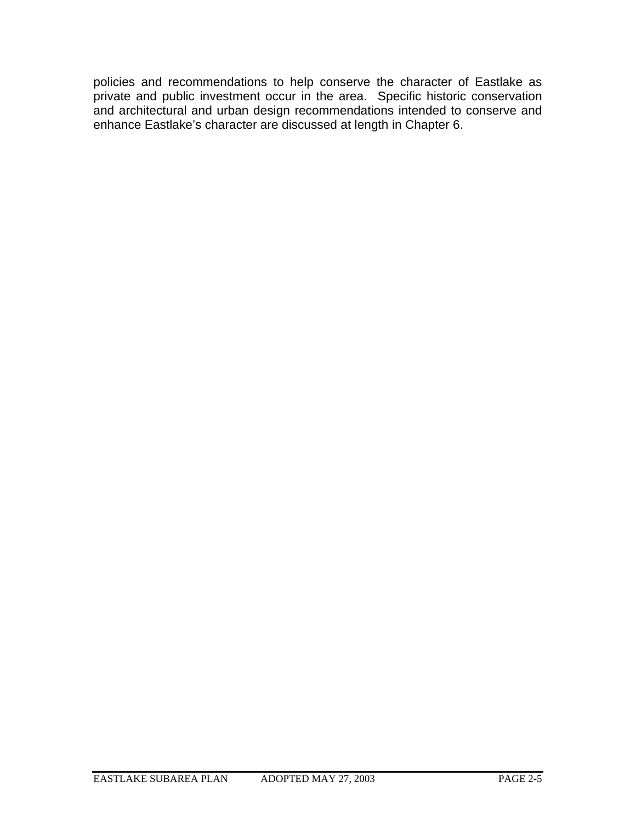policies and recommendations to help conserve the character of Eastlake as private and public investment occur in the area. Specific historic conservation and architectural and urban design recommendations intended to conserve and enhance Eastlake's character are discussed at length in Chapter 6.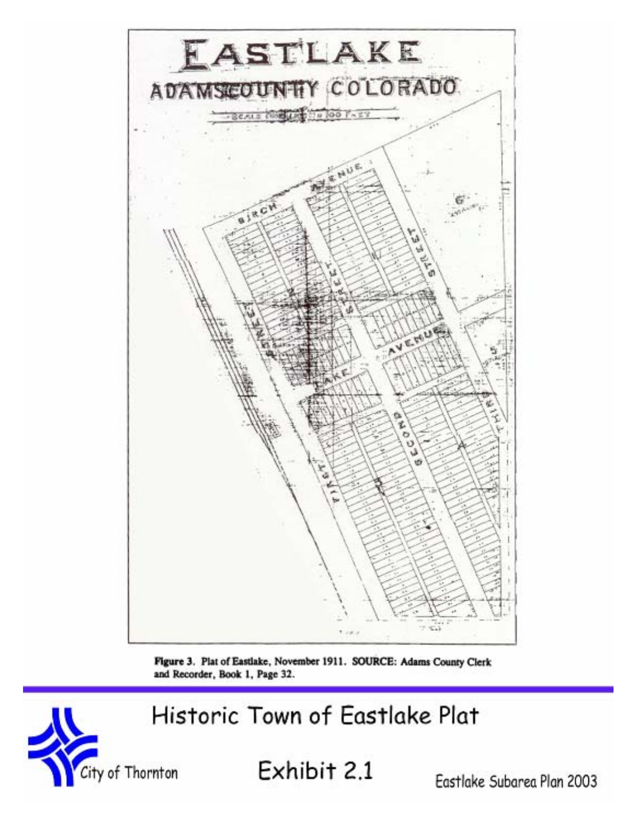

Figure 3. Plat of Eastlake, November 1911. SOURCE: Adams County Clerk and Recorder, Book 1, Page 32.

Historic Town of Eastlake Plat



City of Thornton  $\mathsf{Exhibit}\ 2.1$  Eastlake Subarea Plan 2003